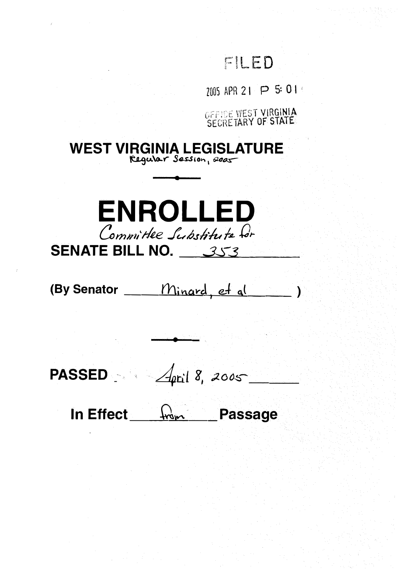# FILED

2005 APR 21 P 5: 01

OFFICE WEST VIRGINIA

**WEST VIRGINIA LEGISLATURE** Regular Session, 2005



(By Senator \_\_\_\_ Minard, et al  $\lambda$ 

PASSED  $\frac{1}{\sqrt{1-\frac{1}{\pi}}}\int_{0}^{2\pi}18,2005$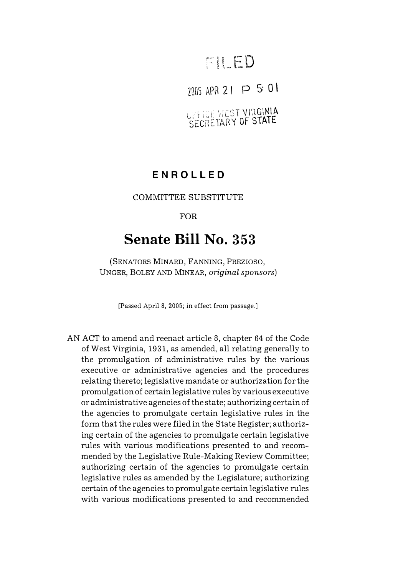# FILED

## $2005$  APR 2 I P 5: 0 1

UPHICE WEST VIRGINIA SECRETARY OF STATE

### **ENROLLED**

### COMMITTEE SUBSTITUTE

### FOR

## **Senate Bill No. 353**

(SENATORS MINARD, FANNING, PREZIOSO, UNGER, BOLEY AND MINEAR, *original sponsors)* 

[Passed April 8, 2005; in effect from passage.]

AN ACT to amend and reenact article 8, chapter 64 of the Code of West Virginia, 1931, as amended, all relating generally to the promulgation of administrative rules by the various executive or administrative agencies and the procedures relating thereto; legislative mandate or authorization for the promulgation of certain legislative rules by various executive or administrative agencies of the state; authorizing certain of the agencies to promulgate certain legislative rules in the form that the rules were filed in the State Register; authorizing certain of the agencies to promulgate certain legislative rules with various modifications presented to and recommended by the Legislative Rule-Making Review Committee; authorizing certain of the agencies to promulgate certain legislative rules as amended by the Legislature; authorizing certain of the agencies to promulgate certain legislative rules with various modifications presented to and recommended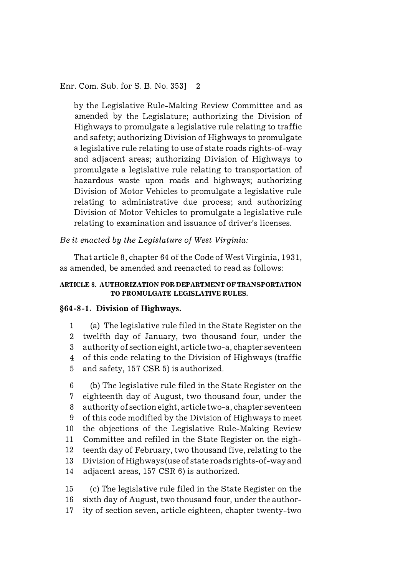Enr. Com. Sub. for S. B. No. 353] 2

by the Legislative Rule-Making Review Committee and as amended by the Legislature; authorizing the Division of Highways to promulgate a legislative rule relating to traffic and safety; authorizing Division of Highways to promulgate a legislative rule relating to use of state roads rights-of-way and adjacent areas; authorizing Division of Highways to promulgate a legislative rule relating to transportation of hazardous waste upon roads and highways; authorizing Division of Motor Vehicles to promulgate a legislative rule relating to administrative due process; and authorizing Division of Motor Vehicles to promulgate a legislative rule relating to examination and issuance of driver's licenses.

*Be it enacted by the Legislature of West Virginia:* 

That article 8, chapter 64 of the Code of West Virginia, 1931, as amended, be amended and reenacted to read as follows:

#### **ARTICLE 8. AUTHORIZATION FOR DEPARTMENT OF TRANSPORTATION TO PROMULGATE LEGISLATIVE RULES.**

#### **§64-8-1. Division of Highways.**

1 (a) The legislative rule filed in the State Register on the 2 twelfth day of January, two thousand four, under the 3 authority of section eight, article two-a, chapter seventeen 4 of this code relating to the Division of Highways (traffic 5 and safety, 157 CSR 5) is authorized.

6 (b) The legislative rule filed in the State Register on the 7 eighteenth day of August, two thousand four, under the 8 authority of section eight, article two-a, chapter seventeen 9 of this code modified by the Division of Highways to meet 10 the objections of the Legislative Rule-Making Review 11 Committee and refiled in the State Register on the eigh-12 teen th day of February, two thousand five, relating to the 13 Division of Highways (use of state roads rights-of-way and 14 adjacent areas, 157 CSR 6) is authorized.

15 (c) The legislative rule filed in the State Register on the 16 sixth day of August, two thousand four, under the author-17 ity of section seven, article eighteen, chapter twenty-two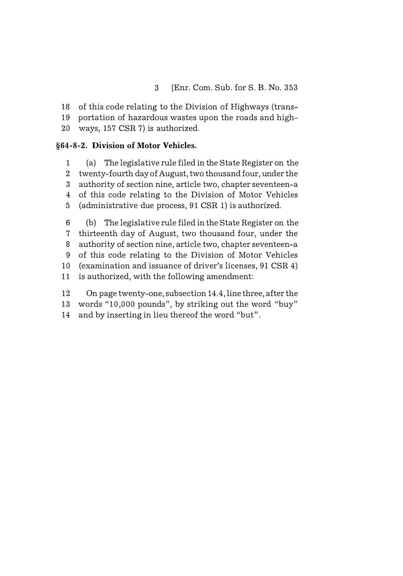18 of this code relating to the Division of Highways (trans-

19 portation of hazardous wastes upon the roads and high-

20 ways, 157 CSR 7) is authorized.

### **§64-8-2. Division of Motor Vehicles.**

1 (a) The legislative rule filed in the State Register on the 2 twenty-fourth day of August, two thousand four, under the 3 authority of section nine, article two, chapter seventeen-a 4 of this code relating to the Division of Motor Vehicles 5 (administrative due process, 91 CSR 1) is authorized.

6 (b) The legislative rule filed in the State Register on the 7 thirteenth day of August, two thousand four, under the 8 authority of section nine, article two, chapter seventeen-a 9 of this code relating to the Division of Motor Vehicles 10 (examination and issuance of driver's licenses, 91 CSR 4) 11 is authorized, with the following amendment:

12 On page twenty-one, subsection 14.4, line three, after the

13 words "10,000 pounds", by striking out the word "buy"

14 and by inserting in lieu thereof the word "but".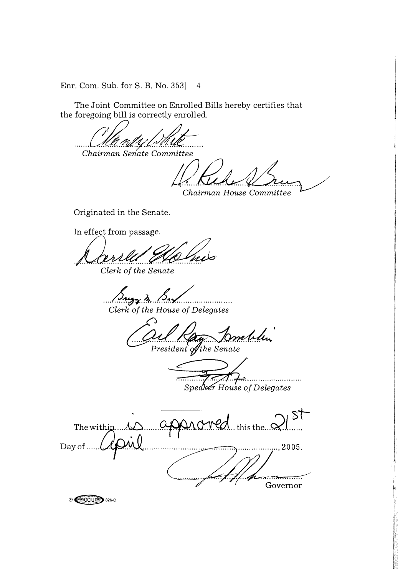Enr. Com. Sub. for S. B. No. 353]  $\overline{4}$ 

The Joint Committee on Enrolled Bills hereby certifies that the foregoing bill is correctly enrolled.

Chairman Senate Committee

Chairman House Committee

Originated in the Senate.

In effect from passage.

**® GCIU** 326-C

Clerk of the Senate

 $22.2...$ Clerk of the House of Delegates

mblen

President of the Senate

. . . . . . . . Speaker House of Delegates

**ST** ronec .. this the...? The within.... $\Lambda$ Day of ...  $..., 2005.$ Governor